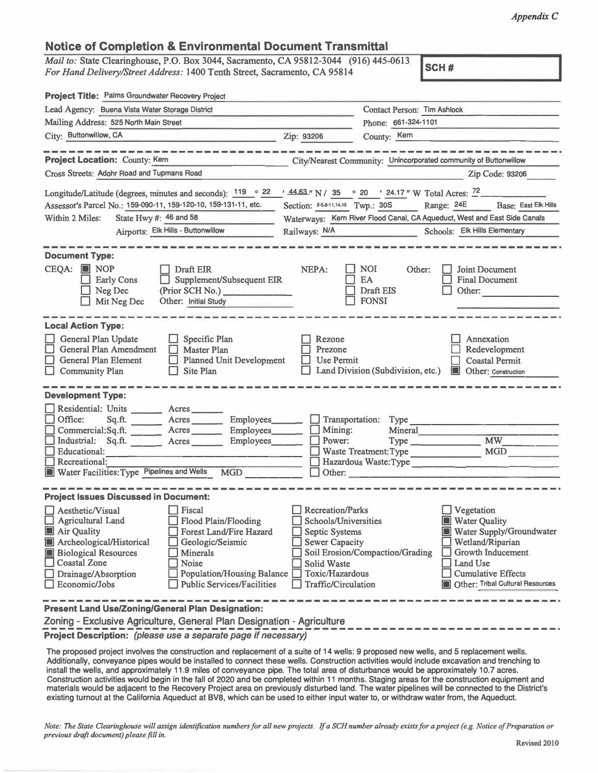## **Notice of Completion & Environmental Document Transmittal**

*Mail to:* **State Clearinghouse, P.O. Box 3044, Sacramento, CA 95812-3044 (916) 445-0613**  *For Hand Delivery/Street Address:* **1400 Tenth Street, Sacramento, CA 95814** 

**Project Title: Palms Groundwater Recovery Project Contact Person: Tim Ashlock Lead Agency: Buena Vista Water Storage District Phone: 661-324-1101 Mailing Address: 525 North Main Street**  City: Buttonwillow, CA Zip: 93206 County: <sup>Kern</sup> **K\_e\_m \_\_\_\_\_\_\_\_\_\_\_\_\_ \_ Project Location:** County: Kern **City/Nearest Community: Unincorporated community of Buttonwillow**  City/Nearest Community: Unincorporated community of Buttonwillow Cross Streets: Adohr Road and Tupmans Road **Zip Code: 93206** Zip Code: 93206 Longitude/Latitude (degrees, minutes and seconds):  $\frac{119}{9}$   $\frac{22}{44.63}$  N /  $\frac{35}{9}$   $\frac{9}{20}$   $\frac{24.17}{8}$  W Total Acres:  $\frac{72}{9}$ Assessor's Parcel No.: 159-090-11, 159-120-10, 159-131-11, etc. Section: 25,8-11,14,15 Twp.: 30S **111***Range:* **24E Base: East Elk Hills** Within 2 Miles: State Hwy #: 46 and 58 Waterways: Kern River Flood Canal, CA Aqueduct, West and East Side Canals Airports: Elk Hills - Buttonwillow Railways: N/A Schools: Elk Hills Elementary -----------------------------**Document Type: CEQA: liJ NOP**   $NEPA: \Box \text{NOI}$  Other: □ **DraftEIR** □ **Joint Document** Supplement/Subsequent EIR D **Early Cons**  □ EA<br>□ Draft EIS **Final Document** □ **DraftEIS** D **Neg Dec (Prior SCH No.) \_\_\_\_\_ \_** Other:  $\overline{\Box}$  FONSI D **MitNeg Dec Other: Initial Study Local Action Type:**  D **General Plan Update** D **Specific Plan**  D **Rezone** D **Annexation**  General Plan Amendment **II** Master Plan<br> **C** General Plan Element **I** Planned Unit D **Master Plan**  D **Prezone** D **Redevelopment Planned Unit Development**  $\Box$  **Coastal Permit** General Plan Element<br>
Community Plan □ Site Plan □ Land Division (Subdivision, etc.) ■ Other: Construction **Development Type:**  Residential: Units \_\_\_\_\_\_\_ Acres \_<br>Office: Sq.ft. \_\_\_\_\_ Acres Sq.ft. \_\_\_\_\_\_\_\_ Acres \_\_\_\_\_\_\_ Employees\_ **Employees \_\_ \_** D **Transportation: Type** -------------- **Employees \_\_ \_** □ **Mining: Mineral**  Commercial:Sq.ft. **Acres Employees** Mineral<br>Type MW D **Industrial: Sq .ft. \_\_\_ Acres \_\_ \_ Employees \_\_ \_** □ **Power: Type \_\_\_\_\_\_\_ MW \_\_\_\_ \_**  <sup>D</sup>**Educational:** ------------------ <sup>D</sup>**Waste Treatment:Type MGD** ----- □ **Recreational:**------------------ □ **Hazardous Waste:Type \_\_\_\_\_\_\_\_\_\_\_\_\_ \_ Iii** Water Facilities: Type Pipelines and Wells **Project Issues Discussed in Document:**  D **Vegetation**  D **AestheticNisual** D **Fiscal** D **Recreation/Parks III** Water Quality □ Agricultural Land Flood Plain/Flooding Schools/Universities <br>■ Air Quality Forest Land/Fire Hazard Septic Systems ■ Water Quality<br>■ Water Supply/Groundwater<br>■ Wetland/Riparian <table>\n<tbody>\n<tr>\n<td>□ Forest Land/Fire Hazard</td>\n<td>□ Septic Systems</td>\n</tr>\n<tr>\n<td>□ Geologic/Seismic</td>\n<td>□ Sewer Capacity</td>\n</tr>\n</tbody>\n</table> **II** Archeological/Historical **II** Geologic/<br> **II** Biological Resources **I** Minerals Wetland/Riparian D **Growth Inducement III Biological Resources** <br> **D Minerals** <br> **D Noise** <br> **D Noise** <br> **D Solid Waste** D **Land Use**  D **Coastal Zone** O **Noise** O **Solid Waste**  D **Drainage/ Absorption** O **Population/Housing Balance** D **Toxic/Hazardous**  □ **Cumulative Effects**  $\Box$  Other: Tribal Cultural Resources D **Economic/Jobs** D **Public Services/Facilities** D **Traffic/Circulation** 

**Present Land Use/Zoning/General Plan Designation:** 

Zoning - Exclusive Agriculture, General Plan Designation - Agriculture

**Project Description:** *(please use a separate page if necessary)*

**The proposed project involves the construction and replacement of a suite of 14 wells: 9 proposed new wells, and 5 replacement wells. Additionally, conveyance pipes would be installed to connect these wells. Construction activities would include excavation and trenching to**  install the wells, and approximately 11.9 miles of conveyance pipe. The total area of disturbance would be approximately 10.7 acres. **Construction activities would begin in the fall of 2020 and be completed within 11 months. Staging areas for the construction equipment and materials would be adjacent to the Recovery Project area on previously disturbed land. The water pipelines will be connected to the District's existing turnout at the California Aqueduct at BV8, which can be used to either input water to, or withdraw water from, the Aqueduct.** 

*Note: The State Clearinghouse will assign identification numbers for all new projects. If a SCH number already exists for a project (e.g. Notice of Preparation or previous draft document) please.fill in.*